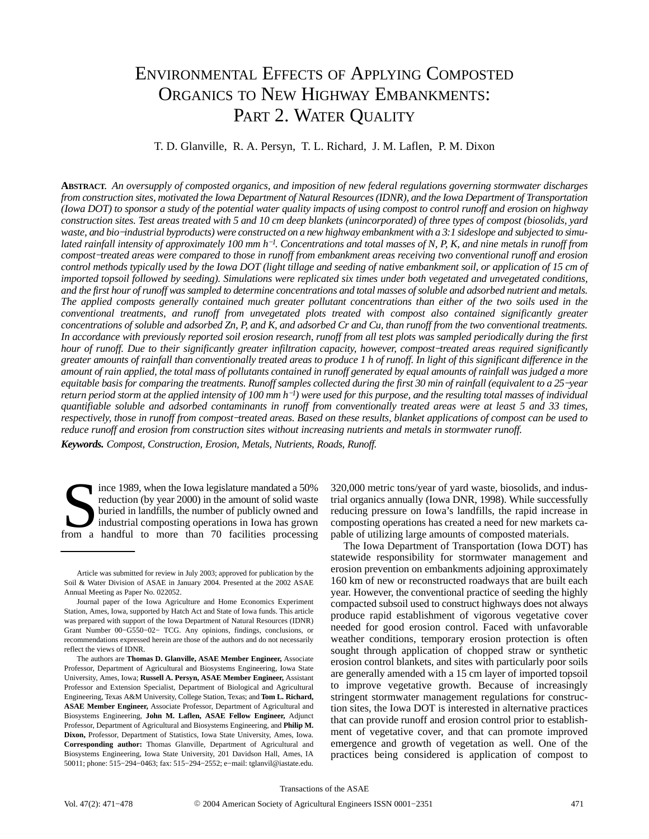# ENVIRONMENTAL EFFECTS OF APPLYING COMPOSTED ORGANICS TO NEW HIGHWAY EMBANKMENTS: PART 2. WATER QUALITY

T. D. Glanville, R. A. Persyn, T. L. Richard, J. M. Laflen, P. M. Dixon

**ABSTRACT.** *An oversupply of composted organics, and imposition of new federal regulations governing stormwater discharges from construction sites, motivated the Iowa Department of Natural Resources (IDNR), and the Iowa Department of Transportation (Iowa DOT) to sponsor a study of the potential water quality impacts of using compost to control runoff and erosion on highway construction sites. Test areas treated with 5 and 10 cm deep blankets (unincorporated) of three types of compost (biosolids, yard waste, and bio−industrial byproducts) were constructed on a new highway embankment with a 3:1 sideslope and subjected to simulated rainfall intensity of approximately 100 mm h−1. Concentrations and total masses of N, P, K, and nine metals in runoff from compost−treated areas were compared to those in runoff from embankment areas receiving two conventional runoff and erosion control methods typically used by the Iowa DOT (light tillage and seeding of native embankment soil, or application of 15 cm of imported topsoil followed by seeding). Simulations were replicated six times under both vegetated and unvegetated conditions, and the first hour of runoff was sampled to determine concentrations and total masses of soluble and adsorbed nutrient and metals. The applied composts generally contained much greater pollutant concentrations than either of the two soils used in the conventional treatments, and runoff from unvegetated plots treated with compost also contained significantly greater concentrations of soluble and adsorbed Zn, P, and K, and adsorbed Cr and Cu, than runoff from the two conventional treatments. In accordance with previously reported soil erosion research, runoff from all test plots was sampled periodically during the first hour of runoff. Due to their significantly greater infiltration capacity, however, compost−treated areas required significantly greater amounts of rainfall than conventionally treated areas to produce 1 h of runoff. In light of this significant difference in the amount of rain applied, the total mass of pollutants contained in runoff generated by equal amounts of rainfall was judged a more equitable basis for comparing the treatments. Runoff samples collected during the first 30 min of rainfall (equivalent to a 25−year return period storm at the applied intensity of 100 mm h<sup>-1</sup>) were used for this purpose, and the resulting total masses of individual quantifiable soluble and adsorbed contaminants in runoff from conventionally treated areas were at least 5 and 33 times, respectively, those in runoff from compost−treated areas. Based on these results, blanket applications of compost can be used to reduce runoff and erosion from construction sites without increasing nutrients and metals in stormwater runoff.*

*Keywords. Compost, Construction, Erosion, Metals, Nutrients, Roads, Runoff.*

ince 1989, when the Iowa legislature mandated a 50% reduction (by year 2000) in the amount of solid waste buried in landfills, the number of publicly owned and industrial composting operations in Iowa has grown from a handful to more than 70 facilities processing<br>from a handful to more than 70 facilities processing<br>than 70 facilities processing

320,000 metric tons/year of yard waste, biosolids, and industrial organics annually (Iowa DNR, 1998). While successfully reducing pressure on Iowa's landfills, the rapid increase in composting operations has created a need for new markets capable of utilizing large amounts of composted materials.

The Iowa Department of Transportation (Iowa DOT) has statewide responsibility for stormwater management and erosion prevention on embankments adjoining approximately 160 km of new or reconstructed roadways that are built each year. However, the conventional practice of seeding the highly compacted subsoil used to construct highways does not always produce rapid establishment of vigorous vegetative cover needed for good erosion control. Faced with unfavorable weather conditions, temporary erosion protection is often sought through application of chopped straw or synthetic erosion control blankets, and sites with particularly poor soils are generally amended with a 15 cm layer of imported topsoil to improve vegetative growth. Because of increasingly stringent stormwater management regulations for construction sites, the Iowa DOT is interested in alternative practices that can provide runoff and erosion control prior to establishment of vegetative cover, and that can promote improved emergence and growth of vegetation as well. One of the practices being considered is application of compost to

Article was submitted for review in July 2003; approved for publication by the Soil & Water Division of ASAE in January 2004. Presented at the 2002 ASAE Annual Meeting as Paper No. 022052.

Journal paper of the Iowa Agriculture and Home Economics Experiment Station, Ames, Iowa, supported by Hatch Act and State of Iowa funds. This article was prepared with support of the Iowa Department of Natural Resources (IDNR) Grant Number 00−G550−02− TCG. Any opinions, findings, conclusions, or recommendations expressed herein are those of the authors and do not necessarily reflect the views of IDNR.

The authors are **Thomas D. Glanville, ASAE Member Engineer,** Associate Professor, Department of Agricultural and Biosystems Engineering, Iowa State University, Ames, Iowa; **Russell A. Persyn, ASAE Member Engineer,** Assistant Professor and Extension Specialist, Department of Biological and Agricultural Engineering, Texas A&M University, College Station, Texas; and **Tom L. Richard, ASAE Member Engineer,** Associate Professor, Department of Agricultural and Biosystems Engineering, **John M. Laflen, ASAE Fellow Engineer,** Adjunct Professor, Department of Agricultural and Biosystems Engineering, and **Philip M. Dixon,** Professor, Department of Statistics, Iowa State University, Ames, Iowa. **Corresponding author:** Thomas Glanville, Department of Agricultural and Biosystems Engineering, Iowa State University, 201 Davidson Hall, Ames, IA 50011; phone: 515−294−0463; fax: 515−294−2552; e−mail: tglanvil@iastate.edu.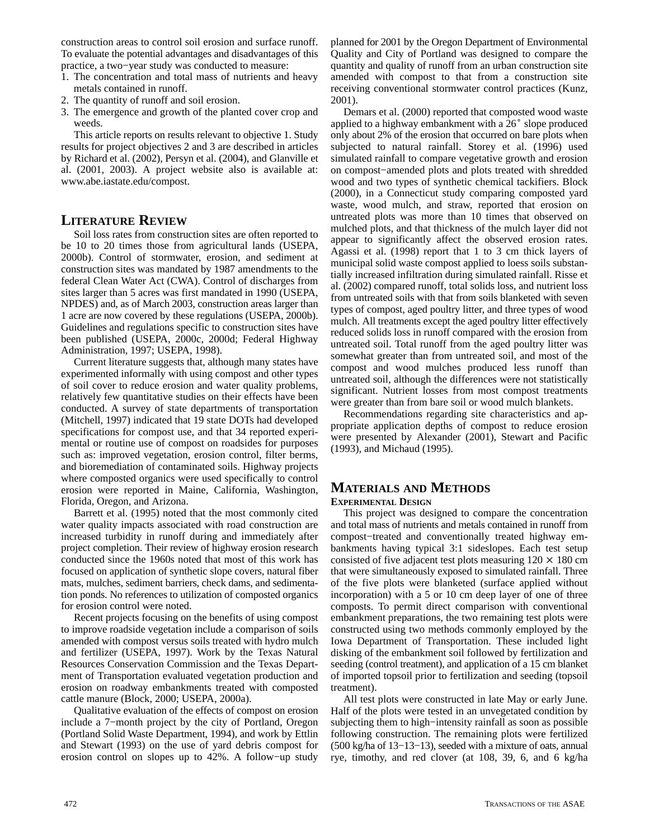construction areas to control soil erosion and surface runoff. To evaluate the potential advantages and disadvantages of this practice, a two−year study was conducted to measure:

- 1. The concentration and total mass of nutrients and heavy metals contained in runoff.
- 2. The quantity of runoff and soil erosion.
- 3. The emergence and growth of the planted cover crop and weeds.

This article reports on results relevant to objective 1. Study results for project objectives 2 and 3 are described in articles by Richard et al. (2002), Persyn et al. (2004), and Glanville et al. (2001, 2003). A project website also is available at: www.abe.iastate.edu/compost.

# **LITERATURE REVIEW**

Soil loss rates from construction sites are often reported to be 10 to 20 times those from agricultural lands (USEPA, 2000b). Control of stormwater, erosion, and sediment at construction sites was mandated by 1987 amendments to the federal Clean Water Act (CWA). Control of discharges from sites larger than 5 acres was first mandated in 1990 (USEPA, NPDES) and, as of March 2003, construction areas larger than 1 acre are now covered by these regulations (USEPA, 2000b). Guidelines and regulations specific to construction sites have been published (USEPA, 2000c, 2000d; Federal Highway Administration, 1997; USEPA, 1998).

Current literature suggests that, although many states have experimented informally with using compost and other types of soil cover to reduce erosion and water quality problems, relatively few quantitative studies on their effects have been conducted. A survey of state departments of transportation (Mitchell, 1997) indicated that 19 state DOTs had developed specifications for compost use, and that 34 reported experimental or routine use of compost on roadsides for purposes such as: improved vegetation, erosion control, filter berms, and bioremediation of contaminated soils. Highway projects where composted organics were used specifically to control erosion were reported in Maine, California, Washington, Florida, Oregon, and Arizona.

Barrett et al. (1995) noted that the most commonly cited water quality impacts associated with road construction are increased turbidity in runoff during and immediately after project completion. Their review of highway erosion research conducted since the 1960s noted that most of this work has focused on application of synthetic slope covers, natural fiber mats, mulches, sediment barriers, check dams, and sedimentation ponds. No references to utilization of composted organics for erosion control were noted.

Recent projects focusing on the benefits of using compost to improve roadside vegetation include a comparison of soils amended with compost versus soils treated with hydro mulch and fertilizer (USEPA, 1997). Work by the Texas Natural Resources Conservation Commission and the Texas Department of Transportation evaluated vegetation production and erosion on roadway embankments treated with composted cattle manure (Block, 2000; USEPA, 2000a).

Qualitative evaluation of the effects of compost on erosion include a 7−month project by the city of Portland, Oregon (Portland Solid Waste Department, 1994), and work by Ettlin and Stewart (1993) on the use of yard debris compost for erosion control on slopes up to 42%. A follow−up study planned for 2001 by the Oregon Department of Environmental Quality and City of Portland was designed to compare the quantity and quality of runoff from an urban construction site amended with compost to that from a construction site receiving conventional stormwater control practices (Kunz, 2001).

Demars et al. (2000) reported that composted wood waste applied to a highway embankment with a 26° slope produced only about 2% of the erosion that occurred on bare plots when subjected to natural rainfall. Storey et al. (1996) used simulated rainfall to compare vegetative growth and erosion on compost−amended plots and plots treated with shredded wood and two types of synthetic chemical tackifiers. Block (2000), in a Connecticut study comparing composted yard waste, wood mulch, and straw, reported that erosion on untreated plots was more than 10 times that observed on mulched plots, and that thickness of the mulch layer did not appear to significantly affect the observed erosion rates. Agassi et al. (1998) report that 1 to 3 cm thick layers of municipal solid waste compost applied to loess soils substantially increased infiltration during simulated rainfall. Risse et al. (2002) compared runoff, total solids loss, and nutrient loss from untreated soils with that from soils blanketed with seven types of compost, aged poultry litter, and three types of wood mulch. All treatments except the aged poultry litter effectively reduced solids loss in runoff compared with the erosion from untreated soil. Total runoff from the aged poultry litter was somewhat greater than from untreated soil, and most of the compost and wood mulches produced less runoff than untreated soil, although the differences were not statistically significant. Nutrient losses from most compost treatments were greater than from bare soil or wood mulch blankets.

Recommendations regarding site characteristics and appropriate application depths of compost to reduce erosion were presented by Alexander (2001), Stewart and Pacific (1993), and Michaud (1995).

# **MATERIALS AND METHODS**

# **EXPERIMENTAL DESIGN**

This project was designed to compare the concentration and total mass of nutrients and metals contained in runoff from compost−treated and conventionally treated highway embankments having typical 3:1 sideslopes. Each test setup consisted of five adjacent test plots measuring  $120 \times 180$  cm that were simultaneously exposed to simulated rainfall. Three of the five plots were blanketed (surface applied without incorporation) with a 5 or 10 cm deep layer of one of three composts. To permit direct comparison with conventional embankment preparations, the two remaining test plots were constructed using two methods commonly employed by the Iowa Department of Transportation. These included light disking of the embankment soil followed by fertilization and seeding (control treatment), and application of a 15 cm blanket of imported topsoil prior to fertilization and seeding (topsoil treatment).

All test plots were constructed in late May or early June. Half of the plots were tested in an unvegetated condition by subjecting them to high−intensity rainfall as soon as possible following construction. The remaining plots were fertilized (500 kg/ha of 13−13−13), seeded with a mixture of oats, annual rye, timothy, and red clover (at 108, 39, 6, and 6 kg/ha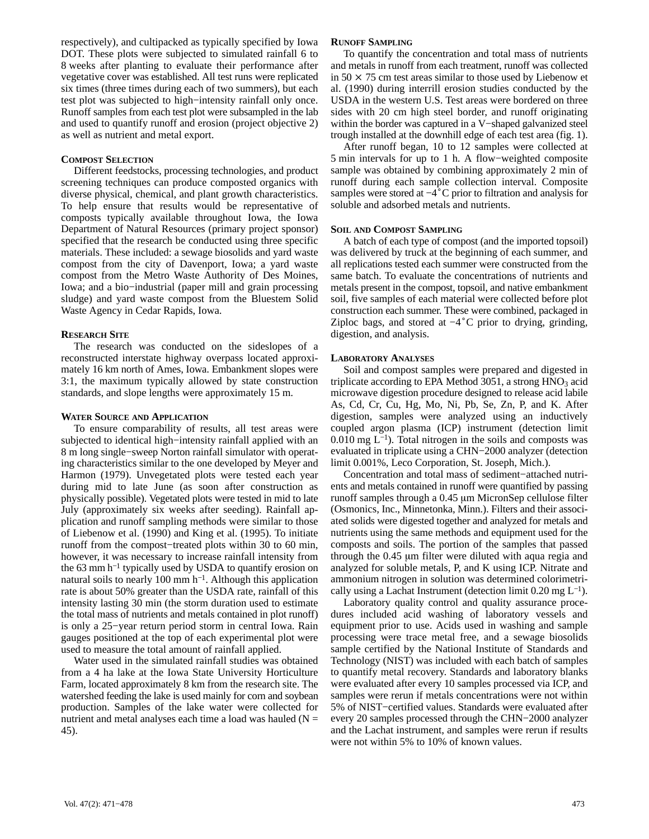respectively), and cultipacked as typically specified by Iowa DOT. These plots were subjected to simulated rainfall 6 to 8 weeks after planting to evaluate their performance after vegetative cover was established. All test runs were replicated six times (three times during each of two summers), but each test plot was subjected to high−intensity rainfall only once. Runoff samples from each test plot were subsampled in the lab and used to quantify runoff and erosion (project objective 2) as well as nutrient and metal export.

#### **COMPOST SELECTION**

Different feedstocks, processing technologies, and product screening techniques can produce composted organics with diverse physical, chemical, and plant growth characteristics. To help ensure that results would be representative of composts typically available throughout Iowa, the Iowa Department of Natural Resources (primary project sponsor) specified that the research be conducted using three specific materials. These included: a sewage biosolids and yard waste compost from the city of Davenport, Iowa; a yard waste compost from the Metro Waste Authority of Des Moines, Iowa; and a bio−industrial (paper mill and grain processing sludge) and yard waste compost from the Bluestem Solid Waste Agency in Cedar Rapids, Iowa.

#### **RESEARCH SITE**

The research was conducted on the sideslopes of a reconstructed interstate highway overpass located approximately 16 km north of Ames, Iowa. Embankment slopes were 3:1, the maximum typically allowed by state construction standards, and slope lengths were approximately 15 m.

#### **WATER SOURCE AND APPLICATION**

To ensure comparability of results, all test areas were subjected to identical high−intensity rainfall applied with an 8 m long single−sweep Norton rainfall simulator with operating characteristics similar to the one developed by Meyer and Harmon (1979). Unvegetated plots were tested each year during mid to late June (as soon after construction as physically possible). Vegetated plots were tested in mid to late July (approximately six weeks after seeding). Rainfall application and runoff sampling methods were similar to those of Liebenow et al. (1990) and King et al. (1995). To initiate runoff from the compost−treated plots within 30 to 60 min, however, it was necessary to increase rainfall intensity from the 63 mm h−1 typically used by USDA to quantify erosion on natural soils to nearly 100 mm h<sup>-1</sup>. Although this application rate is about 50% greater than the USDA rate, rainfall of this intensity lasting 30 min (the storm duration used to estimate the total mass of nutrients and metals contained in plot runoff) is only a 25−year return period storm in central Iowa. Rain gauges positioned at the top of each experimental plot were used to measure the total amount of rainfall applied.

Water used in the simulated rainfall studies was obtained from a 4 ha lake at the Iowa State University Horticulture Farm, located approximately 8 km from the research site. The watershed feeding the lake is used mainly for corn and soybean production. Samples of the lake water were collected for nutrient and metal analyses each time a load was hauled  $(N =$ 45).

#### **RUNOFF SAMPLING**

To quantify the concentration and total mass of nutrients and metals in runoff from each treatment, runoff was collected in  $50 \times 75$  cm test areas similar to those used by Liebenow et al. (1990) during interrill erosion studies conducted by the USDA in the western U.S. Test areas were bordered on three sides with 20 cm high steel border, and runoff originating within the border was captured in a V−shaped galvanized steel trough installed at the downhill edge of each test area (fig. 1).

After runoff began, 10 to 12 samples were collected at 5 min intervals for up to 1 h. A flow−weighted composite sample was obtained by combining approximately 2 min of runoff during each sample collection interval. Composite samples were stored at  $-4^{\circ}$ C prior to filtration and analysis for soluble and adsorbed metals and nutrients.

#### **SOIL AND COMPOST SAMPLING**

A batch of each type of compost (and the imported topsoil) was delivered by truck at the beginning of each summer, and all replications tested each summer were constructed from the same batch. To evaluate the concentrations of nutrients and metals present in the compost, topsoil, and native embankment soil, five samples of each material were collected before plot construction each summer. These were combined, packaged in Ziploc bags, and stored at −4°C prior to drying, grinding, digestion, and analysis.

#### **LABORATORY ANALYSES**

Soil and compost samples were prepared and digested in triplicate according to EPA Method  $3051$ , a strong  $HNO<sub>3</sub>$  acid microwave digestion procedure designed to release acid labile As, Cd, Cr, Cu, Hg, Mo, Ni, Pb, Se, Zn, P, and K. After digestion, samples were analyzed using an inductively coupled argon plasma (ICP) instrument (detection limit 0.010 mg L−1). Total nitrogen in the soils and composts was evaluated in triplicate using a CHN−2000 analyzer (detection limit 0.001%, Leco Corporation, St. Joseph, Mich.).

Concentration and total mass of sediment−attached nutrients and metals contained in runoff were quantified by passing runoff samples through a 0.45 µm MicronSep cellulose filter (Osmonics, Inc., Minnetonka, Minn.). Filters and their associated solids were digested together and analyzed for metals and nutrients using the same methods and equipment used for the composts and soils. The portion of the samples that passed through the 0.45 µm filter were diluted with aqua regia and analyzed for soluble metals, P, and K using ICP. Nitrate and ammonium nitrogen in solution was determined colorimetrically using a Lachat Instrument (detection limit 0.20 mg L−1).

Laboratory quality control and quality assurance procedures included acid washing of laboratory vessels and equipment prior to use. Acids used in washing and sample processing were trace metal free, and a sewage biosolids sample certified by the National Institute of Standards and Technology (NIST) was included with each batch of samples to quantify metal recovery. Standards and laboratory blanks were evaluated after every 10 samples processed via ICP, and samples were rerun if metals concentrations were not within 5% of NIST−certified values. Standards were evaluated after every 20 samples processed through the CHN−2000 analyzer and the Lachat instrument, and samples were rerun if results were not within 5% to 10% of known values.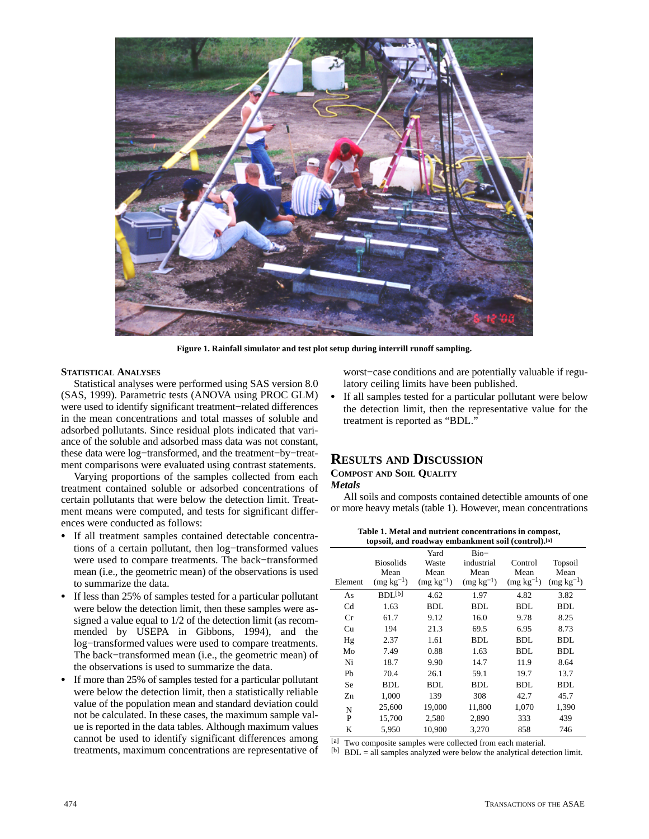

**Figure 1. Rainfall simulator and test plot setup during interrill runoff sampling.**

#### **STATISTICAL ANALYSES**

Statistical analyses were performed using SAS version 8.0 (SAS, 1999). Parametric tests (ANOVA using PROC GLM) were used to identify significant treatment−related differences in the mean concentrations and total masses of soluble and adsorbed pollutants. Since residual plots indicated that variance of the soluble and adsorbed mass data was not constant, these data were log−transformed, and the treatment−by−treatment comparisons were evaluated using contrast statements.

Varying proportions of the samples collected from each treatment contained soluble or adsorbed concentrations of certain pollutants that were below the detection limit. Treatment means were computed, and tests for significant differences were conducted as follows:

- - If all treatment samples contained detectable concentrations of a certain pollutant, then log−transformed values were used to compare treatments. The back−transformed mean (i.e., the geometric mean) of the observations is used to summarize the data.
- - If less than 25% of samples tested for a particular pollutant were below the detection limit, then these samples were assigned a value equal to 1/2 of the detection limit (as recommended by USEPA in Gibbons, 1994), and the log−transformed values were used to compare treatments. The back−transformed mean (i.e., the geometric mean) of the observations is used to summarize the data.
- - If more than 25% of samples tested for a particular pollutant were below the detection limit, then a statistically reliable value of the population mean and standard deviation could not be calculated. In these cases, the maximum sample value is reported in the data tables. Although maximum values cannot be used to identify significant differences among treatments, maximum concentrations are representative of

worst−case conditions and are potentially valuable if regulatory ceiling limits have been published.

 $\bullet$  If all samples tested for a particular pollutant were below the detection limit, then the representative value for the treatment is reported as "BDL."

### **RESULTS AND DISCUSSION COMPOST AND SOIL QUALITY**

#### *Metals*

All soils and composts contained detectible amounts of one or more heavy metals (table 1). However, mean concentrations

**Table 1. Metal and nutrient concentrations in compost, topsoil, and roadway embankment soil (control).[a]**

| Element | <b>Biosolids</b><br>Mean<br>$(mg kg^{-1})$ | Yard<br>Waste<br>Mean<br>$(mg kg^{-1})$ | $Bio-$<br>industrial<br>Mean<br>$(mg kg-1)$ | Control<br>Mean<br>$(mg kg-1)$ | <b>Topsoil</b><br>Mean<br>$(mg kg^{-1})$ |  |  |
|---------|--------------------------------------------|-----------------------------------------|---------------------------------------------|--------------------------------|------------------------------------------|--|--|
| As      | $BDL^{[b]}$                                | 4.62                                    | 1.97                                        | 4.82                           | 3.82                                     |  |  |
| Cd      | 1.63                                       | <b>BDL</b>                              | BDL                                         | BDL                            | <b>BDL</b>                               |  |  |
| Cr      | 61.7                                       | 9.12                                    | 16.0                                        | 9.78                           | 8.25                                     |  |  |
| Cu      | 194                                        | 21.3                                    | 69.5                                        | 6.95                           | 8.73                                     |  |  |
| Hg      | 2.37                                       | 1.61                                    | <b>BDL</b>                                  | <b>BDL</b>                     | <b>BDL</b>                               |  |  |
| Mo      | 7.49                                       | 0.88                                    | 1.63                                        | BDL                            | <b>BDL</b>                               |  |  |
| Ni      | 18.7                                       | 9.90                                    | 14.7                                        | 11.9                           | 8.64                                     |  |  |
| Pb      | 70.4                                       | 26.1                                    | 59.1                                        | 19.7                           | 13.7                                     |  |  |
| Se      | <b>BDL</b>                                 | <b>BDL</b>                              | BDL                                         | BDL                            | <b>BDL</b>                               |  |  |
| Zn      | 1,000                                      | 139                                     | 308                                         | 42.7                           | 45.7                                     |  |  |
| N       | 25,600                                     | 19,000                                  | 11,800                                      | 1,070                          | 1,390                                    |  |  |
| P       | 15,700                                     | 2,580                                   | 2,890                                       | 333                            | 439                                      |  |  |
| K       | 5,950                                      | 10,900                                  | 3,270                                       | 858                            | 746                                      |  |  |

[a] Two composite samples were collected from each material.

[b] BDL = all samples analyzed were below the analytical detection limit.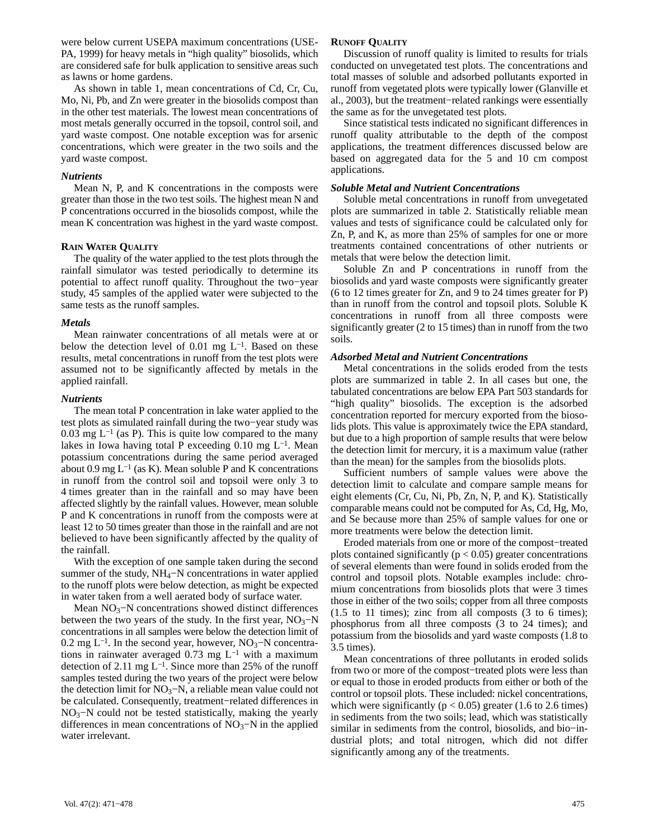were below current USEPA maximum concentrations (USE-PA, 1999) for heavy metals in "high quality" biosolids, which are considered safe for bulk application to sensitive areas such as lawns or home gardens.

As shown in table 1, mean concentrations of Cd, Cr, Cu, Mo, Ni, Pb, and Zn were greater in the biosolids compost than in the other test materials. The lowest mean concentrations of most metals generally occurred in the topsoil, control soil, and yard waste compost. One notable exception was for arsenic concentrations, which were greater in the two soils and the yard waste compost.

#### *Nutrients*

Mean N, P, and K concentrations in the composts were greater than those in the two test soils. The highest mean N and P concentrations occurred in the biosolids compost, while the mean K concentration was highest in the yard waste compost.

#### **RAIN WATER QUALITY**

The quality of the water applied to the test plots through the rainfall simulator was tested periodically to determine its potential to affect runoff quality. Throughout the two−year study, 45 samples of the applied water were subjected to the same tests as the runoff samples.

#### *Metals*

Mean rainwater concentrations of all metals were at or below the detection level of 0.01 mg L−1. Based on these results, metal concentrations in runoff from the test plots were assumed not to be significantly affected by metals in the applied rainfall.

#### *Nutrients*

The mean total P concentration in lake water applied to the test plots as simulated rainfall during the two−year study was 0.03 mg L−1 (as P). This is quite low compared to the many lakes in Iowa having total P exceeding 0.10 mg L−1. Mean potassium concentrations during the same period averaged about 0.9 mg  $L^{-1}$  (as K). Mean soluble P and K concentrations in runoff from the control soil and topsoil were only 3 to 4 times greater than in the rainfall and so may have been affected slightly by the rainfall values. However, mean soluble P and K concentrations in runoff from the composts were at least 12 to 50 times greater than those in the rainfall and are not believed to have been significantly affected by the quality of the rainfall.

With the exception of one sample taken during the second summer of the study, NH<sub>4</sub>−N concentrations in water applied to the runoff plots were below detection, as might be expected in water taken from a well aerated body of surface water.

Mean  $NO<sub>3</sub>–N$  concentrations showed distinct differences between the two years of the study. In the first year,  $NO<sub>3</sub>–N$ concentrations in all samples were below the detection limit of 0.2 mg L<sup>-1</sup>. In the second year, however,  $NO_3$ - $N$  concentrations in rainwater averaged 0.73 mg L−1 with a maximum detection of 2.11 mg L−1. Since more than 25% of the runoff samples tested during the two years of the project were below the detection limit for  $NO_3-N$ , a reliable mean value could not be calculated. Consequently, treatment−related differences in  $NO<sub>3</sub>–N$  could not be tested statistically, making the yearly differences in mean concentrations of  $NO<sub>3</sub>–N$  in the applied water irrelevant.

#### **RUNOFF QUALITY**

Discussion of runoff quality is limited to results for trials conducted on unvegetated test plots. The concentrations and total masses of soluble and adsorbed pollutants exported in runoff from vegetated plots were typically lower (Glanville et al., 2003), but the treatment−related rankings were essentially the same as for the unvegetated test plots.

Since statistical tests indicated no significant differences in runoff quality attributable to the depth of the compost applications, the treatment differences discussed below are based on aggregated data for the 5 and 10 cm compost applications.

#### *Soluble Metal and Nutrient Concentrations*

Soluble metal concentrations in runoff from unvegetated plots are summarized in table 2. Statistically reliable mean values and tests of significance could be calculated only for Zn, P, and K, as more than 25% of samples for one or more treatments contained concentrations of other nutrients or metals that were below the detection limit.

Soluble Zn and P concentrations in runoff from the biosolids and yard waste composts were significantly greater (6 to 12 times greater for Zn, and 9 to 24 times greater for P) than in runoff from the control and topsoil plots. Soluble K concentrations in runoff from all three composts were significantly greater (2 to 15 times) than in runoff from the two soils.

#### *Adsorbed Metal and Nutrient Concentrations*

Metal concentrations in the solids eroded from the tests plots are summarized in table 2. In all cases but one, the tabulated concentrations are below EPA Part 503 standards for "high quality" biosolids. The exception is the adsorbed concentration reported for mercury exported from the biosolids plots. This value is approximately twice the EPA standard, but due to a high proportion of sample results that were below the detection limit for mercury, it is a maximum value (rather than the mean) for the samples from the biosolids plots.

Sufficient numbers of sample values were above the detection limit to calculate and compare sample means for eight elements (Cr, Cu, Ni, Pb, Zn, N, P, and K). Statistically comparable means could not be computed for As, Cd, Hg, Mo, and Se because more than 25% of sample values for one or more treatments were below the detection limit.

Eroded materials from one or more of the compost−treated plots contained significantly  $(p < 0.05)$  greater concentrations of several elements than were found in solids eroded from the control and topsoil plots. Notable examples include: chromium concentrations from biosolids plots that were 3 times those in either of the two soils; copper from all three composts  $(1.5 \text{ to } 11 \text{ times})$ ; zinc from all composts  $(3 \text{ to } 6 \text{ times})$ ; phosphorus from all three composts (3 to 24 times); and potassium from the biosolids and yard waste composts (1.8 to 3.5 times).

Mean concentrations of three pollutants in eroded solids from two or more of the compost−treated plots were less than or equal to those in eroded products from either or both of the control or topsoil plots. These included: nickel concentrations, which were significantly ( $p < 0.05$ ) greater (1.6 to 2.6 times) in sediments from the two soils; lead, which was statistically similar in sediments from the control, biosolids, and bio−industrial plots; and total nitrogen, which did not differ significantly among any of the treatments.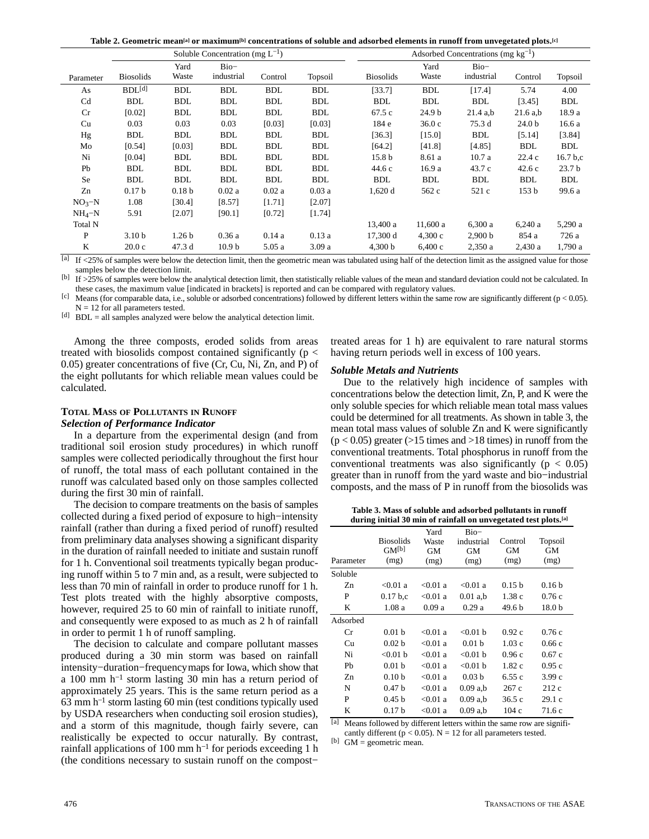**Table 2. Geometric mean[a] or maximum[b] concentrations of soluble and adsorbed elements in runoff from unvegetated plots.[c]**

|                                                                                        | Soluble Concentration (mg $L^{-1}$ ) |                   |                      |            |            | Adsorbed Concentrations (mg $kg^{-1}$ ) |                    |                      |                   |                   |
|----------------------------------------------------------------------------------------|--------------------------------------|-------------------|----------------------|------------|------------|-----------------------------------------|--------------------|----------------------|-------------------|-------------------|
| Parameter                                                                              | <b>Biosolids</b>                     | Yard<br>Waste     | $Bio-$<br>industrial | Control    | Topsoil    | <b>Biosolids</b>                        | Yard<br>Waste      | $Bio-$<br>industrial | Control           | Topsoil           |
| As                                                                                     | $BDL^{[d]}$                          | <b>BDL</b>        | <b>BDL</b>           | <b>BDL</b> | <b>BDL</b> | [33.7]                                  | <b>BDL</b>         | [17.4]               | 5.74              | 4.00              |
| Cd                                                                                     | <b>BDL</b>                           | <b>BDL</b>        | <b>BDL</b>           | <b>BDL</b> | <b>BDL</b> | <b>BDL</b>                              | <b>BDL</b>         | <b>BDL</b>           | [3.45]            | <b>BDL</b>        |
| Cr                                                                                     | [0.02]                               | <b>BDL</b>        | <b>BDL</b>           | <b>BDL</b> | <b>BDL</b> | 67.5c                                   | 24.9 b             | $21.4$ a,b           | $21.6$ a,b        | 18.9 a            |
| Cu                                                                                     | 0.03                                 | 0.03              | 0.03                 | [0.03]     | [0.03]     | 184 e                                   | 36.0c              | 75.3 d               | 24.0 <sub>b</sub> | 16.6 a            |
| Hg                                                                                     | <b>BDL</b>                           | <b>BDL</b>        | BDL                  | <b>BDL</b> | BDL        | [36.3]                                  | [15.0]             | <b>BDL</b>           | [5.14]            | [3.84]            |
| Mo                                                                                     | [0.54]                               | [0.03]            | BDL                  | <b>BDL</b> | BDL        | [64.2]                                  | [41.8]             | [4.85]               | <b>BDL</b>        | <b>BDL</b>        |
| Ni                                                                                     | [0.04]                               | <b>BDL</b>        | BDL                  | <b>BDL</b> | <b>BDL</b> | 15.8 <sub>b</sub>                       | 8.61 a             | 10.7a                | 22.4c             | 16.7 b.c          |
| Pb                                                                                     | <b>BDL</b>                           | <b>BDL</b>        | <b>BDL</b>           | <b>BDL</b> | <b>BDL</b> | 44.6 c                                  | 16.9 a             | 43.7 c               | 42.6c             | 23.7 <sub>b</sub> |
| Se                                                                                     | <b>BDL</b>                           | <b>BDL</b>        | <b>BDL</b>           | <b>BDL</b> | <b>BDL</b> | <b>BDL</b>                              | <b>BDL</b>         | <b>BDL</b>           | <b>BDL</b>        | <b>BDL</b>        |
| Zn                                                                                     | 0.17 <sub>b</sub>                    | 0.18 <sub>b</sub> | 0.02a                | 0.02a      | 0.03a      | $1,620$ d                               | 562 c              | 521 c                | 153 <sub>b</sub>  | 99.6 a            |
| $NO3-N$                                                                                | 1.08                                 | [30.4]            | [8.57]               | [1.71]     | [2.07]     |                                         |                    |                      |                   |                   |
| $NH_4-N$                                                                               | 5.91                                 | [2.07]            | [90.1]               | [0.72]     | [1.74]     |                                         |                    |                      |                   |                   |
| Total N                                                                                |                                      |                   |                      |            |            | 13,400 a                                | 11,600 a           | 6,300a               | 6,240a            | 5,290 a           |
| P                                                                                      | 3.10 <sub>b</sub>                    | 1.26 <sub>b</sub> | 0.36a                | 0.14a      | 0.13a      | 17,300 d                                | 4,300c             | 2,900 b              | 854 a             | 726 a             |
| K<br>$\begin{bmatrix} 0 \\ 0 \end{bmatrix}$ and $\begin{bmatrix} 0 \\ 0 \end{bmatrix}$ | 20.0c                                | 47.3d             | 10.9 <sub>b</sub>    | 5.05a      | 3.09a      | 4,300 b                                 | 6,400c<br>$\cdots$ | 2,350a               | 2,430a            | 1,790 a           |

[a] If  $\langle 25\%$  of samples were below the detection limit, then the geometric mean was tabulated using half of the detection limit as the assigned value for those samples below the detection limit.

 $[b]$  If  $>25\%$  of samples were below the analytical detection limit, then statistically reliable values of the mean and standard deviation could not be calculated. In these cases, the maximum value [indicated in brackets] is reported and can be compared with regulatory values.

[c] Means (for comparable data, i.e., soluble or adsorbed concentrations) followed by different letters within the same row are significantly different (p < 0.05).  $N = 12$  for all parameters tested.

 $[d]$  BDL = all samples analyzed were below the analytical detection limit.

Among the three composts, eroded solids from areas treated with biosolids compost contained significantly ( $p <$ 0.05) greater concentrations of five (Cr, Cu, Ni, Zn, and P) of the eight pollutants for which reliable mean values could be calculated.

# **TOTAL MASS OF POLLUTANTS IN RUNOFF** *Selection of Performance Indicator*

In a departure from the experimental design (and from traditional soil erosion study procedures) in which runoff samples were collected periodically throughout the first hour of runoff, the total mass of each pollutant contained in the runoff was calculated based only on those samples collected during the first 30 min of rainfall.

The decision to compare treatments on the basis of samples collected during a fixed period of exposure to high−intensity rainfall (rather than during a fixed period of runoff) resulted from preliminary data analyses showing a significant disparity in the duration of rainfall needed to initiate and sustain runoff for 1 h. Conventional soil treatments typically began producing runoff within 5 to 7 min and, as a result, were subjected to less than 70 min of rainfall in order to produce runoff for 1 h. Test plots treated with the highly absorptive composts, however, required 25 to 60 min of rainfall to initiate runoff, and consequently were exposed to as much as 2 h of rainfall in order to permit 1 h of runoff sampling.

The decision to calculate and compare pollutant masses produced during a 30 min storm was based on rainfall intensity−duration−frequency maps for Iowa, which show that a 100 mm h−1 storm lasting 30 min has a return period of approximately 25 years. This is the same return period as a 63 mm h−1 storm lasting 60 min (test conditions typically used by USDA researchers when conducting soil erosion studies), and a storm of this magnitude, though fairly severe, can realistically be expected to occur naturally. By contrast, rainfall applications of 100 mm h−1 for periods exceeding 1 h (the conditions necessary to sustain runoff on the compost−

treated areas for 1 h) are equivalent to rare natural storms having return periods well in excess of 100 years.

#### *Soluble Metals and Nutrients*

Due to the relatively high incidence of samples with concentrations below the detection limit, Zn, P, and K were the only soluble species for which reliable mean total mass values could be determined for all treatments. As shown in table 3, the mean total mass values of soluble Zn and K were significantly  $(p < 0.05)$  greater (>15 times and >18 times) in runoff from the conventional treatments. Total phosphorus in runoff from the conventional treatments was also significantly ( $p < 0.05$ ) greater than in runoff from the yard waste and bio−industrial composts, and the mass of P in runoff from the biosolids was

**Table 3. Mass of soluble and adsorbed pollutants in runoff during initial 30 min of rainfall on unvegetated test plots.[a]**

|           | <b>Biosolids</b><br>$GM^{[b]}$ | Yard<br>Waste<br>GМ | $Bio-$<br>industrial<br>GМ | Control<br>GМ     | <b>Topsoil</b><br>GМ |
|-----------|--------------------------------|---------------------|----------------------------|-------------------|----------------------|
| Parameter | (mg)                           | (mg)                | (mg)                       | (mg)              | (mg)                 |
| Soluble   |                                |                     |                            |                   |                      |
| Zn        | $< 0.01$ a                     | $< 0.01$ a          | $< 0.01$ a                 | 0.15 <sub>b</sub> | 0.16 <sub>b</sub>    |
| P         | 0.17 b.c                       | $< 0.01$ a          | $0.01$ a,b                 | 1.38 c            | 0.76c                |
| K         | 1.08a                          | 0.09a               | 0.29a                      | 49.6 b            | 18.0 <sub>b</sub>    |
| Adsorbed  |                                |                     |                            |                   |                      |
| Сr        | 0.01 <sub>b</sub>              | $< 0.01$ a          | < 0.01 h                   | 0.92c             | 0.76c                |
| Cu        | 0.02 <sub>b</sub>              | $< 0.01$ a          | 0.01 <sub>b</sub>          | 1.03c             | 0.66c                |
| Ni        | < 0.01 h                       | $< 0.01$ a          | < 0.01 h                   | 0.96c             | 0.67c                |
| Ph        | 0.01 <sub>b</sub>              | $< 0.01$ a          | < 0.01 h                   | 1.82c             | 0.95c                |
| Zn        | 0.10 <sub>b</sub>              | $< 0.01$ a          | 0.03 <sub>b</sub>          | 6.55c             | 3.99c                |
| N         | 0.47h                          | $< 0.01$ a          | $0.09$ a,b                 | 267c              | 212c                 |
| P         | 0.45h                          | $< 0.01$ a          | $0.09$ a,b                 | 36.5 c            | 29.1c                |
| K         | 0.17h                          | $< 0.01$ a          | $0.09$ a.b                 | 104c              | 71.6 c               |

[a] Means followed by different letters within the same row are significantly different ( $p < 0.05$ ). N = 12 for all parameters tested.

[b] GM = geometric mean.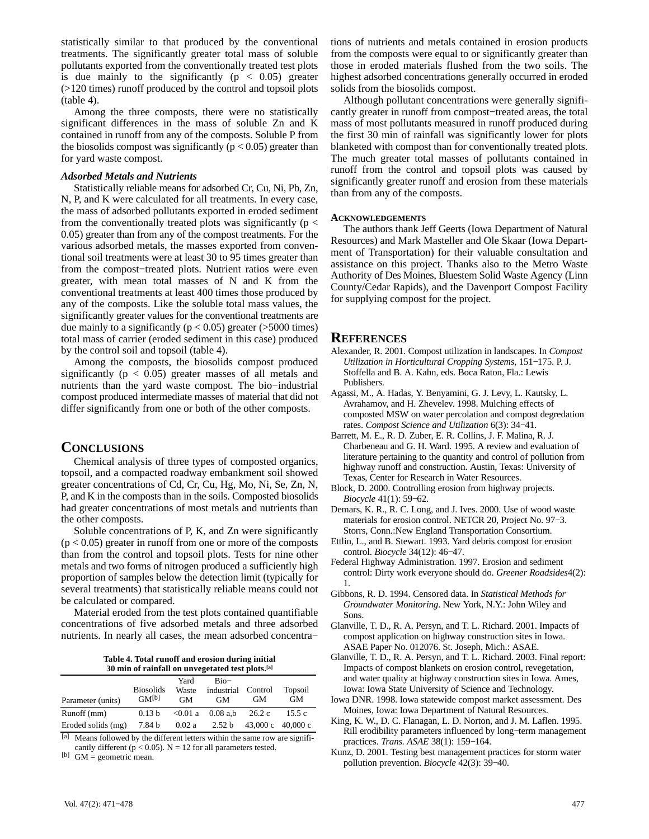statistically similar to that produced by the conventional treatments. The significantly greater total mass of soluble pollutants exported from the conventionally treated test plots is due mainly to the significantly ( $p < 0.05$ ) greater (>120 times) runoff produced by the control and topsoil plots (table 4).

Among the three composts, there were no statistically significant differences in the mass of soluble Zn and K contained in runoff from any of the composts. Soluble P from the biosolids compost was significantly ( $p < 0.05$ ) greater than for yard waste compost.

#### *Adsorbed Metals and Nutrients*

Statistically reliable means for adsorbed Cr, Cu, Ni, Pb, Zn, N, P, and K were calculated for all treatments. In every case, the mass of adsorbed pollutants exported in eroded sediment from the conventionally treated plots was significantly ( $p <$ 0.05) greater than from any of the compost treatments. For the various adsorbed metals, the masses exported from conventional soil treatments were at least 30 to 95 times greater than from the compost−treated plots. Nutrient ratios were even greater, with mean total masses of N and K from the conventional treatments at least 400 times those produced by any of the composts. Like the soluble total mass values, the significantly greater values for the conventional treatments are due mainly to a significantly ( $p < 0.05$ ) greater (>5000 times) total mass of carrier (eroded sediment in this case) produced by the control soil and topsoil (table 4).

Among the composts, the biosolids compost produced significantly ( $p < 0.05$ ) greater masses of all metals and nutrients than the yard waste compost. The bio−industrial compost produced intermediate masses of material that did not differ significantly from one or both of the other composts.

# **CONCLUSIONS**

Chemical analysis of three types of composted organics, topsoil, and a compacted roadway embankment soil showed greater concentrations of Cd, Cr, Cu, Hg, Mo, Ni, Se, Zn, N, P, and K in the composts than in the soils. Composted biosolids had greater concentrations of most metals and nutrients than the other composts.

Soluble concentrations of P, K, and Zn were significantly  $(p < 0.05)$  greater in runoff from one or more of the composts than from the control and topsoil plots. Tests for nine other metals and two forms of nitrogen produced a sufficiently high proportion of samples below the detection limit (typically for several treatments) that statistically reliable means could not be calculated or compared.

Material eroded from the test plots contained quantifiable concentrations of five adsorbed metals and three adsorbed nutrients. In nearly all cases, the mean adsorbed concentra−

> **Table 4. Total runoff and erosion during initial 30 min of rainfall on unvegetated test plots.[a]**

|                    |                   | Yard       | $Bio-$             |                   |         |
|--------------------|-------------------|------------|--------------------|-------------------|---------|
|                    | <b>Biosolids</b>  | Waste      | industrial Control |                   | Topsoil |
| Parameter (units)  | $GM^{[b]}$        | <b>GM</b>  | GМ                 | <b>GM</b>         | GМ      |
| Runoff (mm)        | 0.13 <sub>b</sub> | $< 0.01$ a | $0.08$ a.b         | 26.2c             | 15.5c   |
| Eroded solids (mg) | 7.84 b            | 0.02a      | 2.52 <sub>b</sub>  | 43,000 c 40,000 c |         |

[a] Means followed by the different letters within the same row are significantly different ( $p < 0.05$ ). N = 12 for all parameters tested.

 $[b]$  GM = geometric mean.

tions of nutrients and metals contained in erosion products from the composts were equal to or significantly greater than those in eroded materials flushed from the two soils. The highest adsorbed concentrations generally occurred in eroded solids from the biosolids compost.

Although pollutant concentrations were generally significantly greater in runoff from compost−treated areas, the total mass of most pollutants measured in runoff produced during the first 30 min of rainfall was significantly lower for plots blanketed with compost than for conventionally treated plots. The much greater total masses of pollutants contained in runoff from the control and topsoil plots was caused by significantly greater runoff and erosion from these materials than from any of the composts.

#### **ACKNOWLEDGEMENTS**

The authors thank Jeff Geerts (Iowa Department of Natural Resources) and Mark Masteller and Ole Skaar (Iowa Department of Transportation) for their valuable consultation and assistance on this project. Thanks also to the Metro Waste Authority of Des Moines, Bluestem Solid Waste Agency (Linn County/Cedar Rapids), and the Davenport Compost Facility for supplying compost for the project.

#### **REFERENCES**

- Alexander, R. 2001. Compost utilization in landscapes. In *Compost Utilization in Horticultural Cropping Systems*, 151−175. P. J. Stoffella and B. A. Kahn, eds. Boca Raton, Fla.: Lewis Publishers.
- Agassi, M., A. Hadas, Y. Benyamini, G. J. Levy, L. Kautsky, L. Avrahamov, and H. Zhevelev. 1998. Mulching effects of composted MSW on water percolation and compost degredation rates. *Compost Science and Utilization* 6(3): 34−41.
- Barrett, M. E., R. D. Zuber, E. R. Collins, J. F. Malina, R. J. Charbeneau and G. H. Ward. 1995. A review and evaluation of literature pertaining to the quantity and control of pollution from highway runoff and construction. Austin, Texas: University of Texas, Center for Research in Water Resources.
- Block, D. 2000. Controlling erosion from highway projects. *Biocycle* 41(1): 59−62.
- Demars, K. R., R. C. Long, and J. Ives. 2000. Use of wood waste materials for erosion control. NETCR 20, Project No. 97−3. Storrs, Conn.:New England Transportation Consortium.
- Ettlin, L., and B. Stewart. 1993. Yard debris compost for erosion control. *Biocycle* 34(12): 46−47.
- Federal Highway Administration. 1997. Erosion and sediment control: Dirty work everyone should do. *Greener Roadsides*4(2): 1.
- Gibbons, R. D. 1994. Censored data. In *Statistical Methods for Groundwater Monitoring*. New York, N.Y.: John Wiley and Sons.
- Glanville, T. D., R. A. Persyn, and T. L. Richard. 2001. Impacts of compost application on highway construction sites in Iowa. ASAE Paper No. 012076. St. Joseph, Mich.: ASAE.
- Glanville, T. D., R. A. Persyn, and T. L. Richard. 2003. Final report: Impacts of compost blankets on erosion control, revegetation, and water quality at highway construction sites in Iowa. Ames, Iowa: Iowa State University of Science and Technology.
- Iowa DNR. 1998. Iowa statewide compost market assessment. Des Moines, Iowa: Iowa Department of Natural Resources.
- King, K. W., D. C. Flanagan, L. D. Norton, and J. M. Laflen. 1995. Rill erodibility parameters influenced by long−term management practices. *Trans. ASAE* 38(1): 159−164.
- Kunz, D. 2001. Testing best management practices for storm water pollution prevention. *Biocycle* 42(3): 39−40.